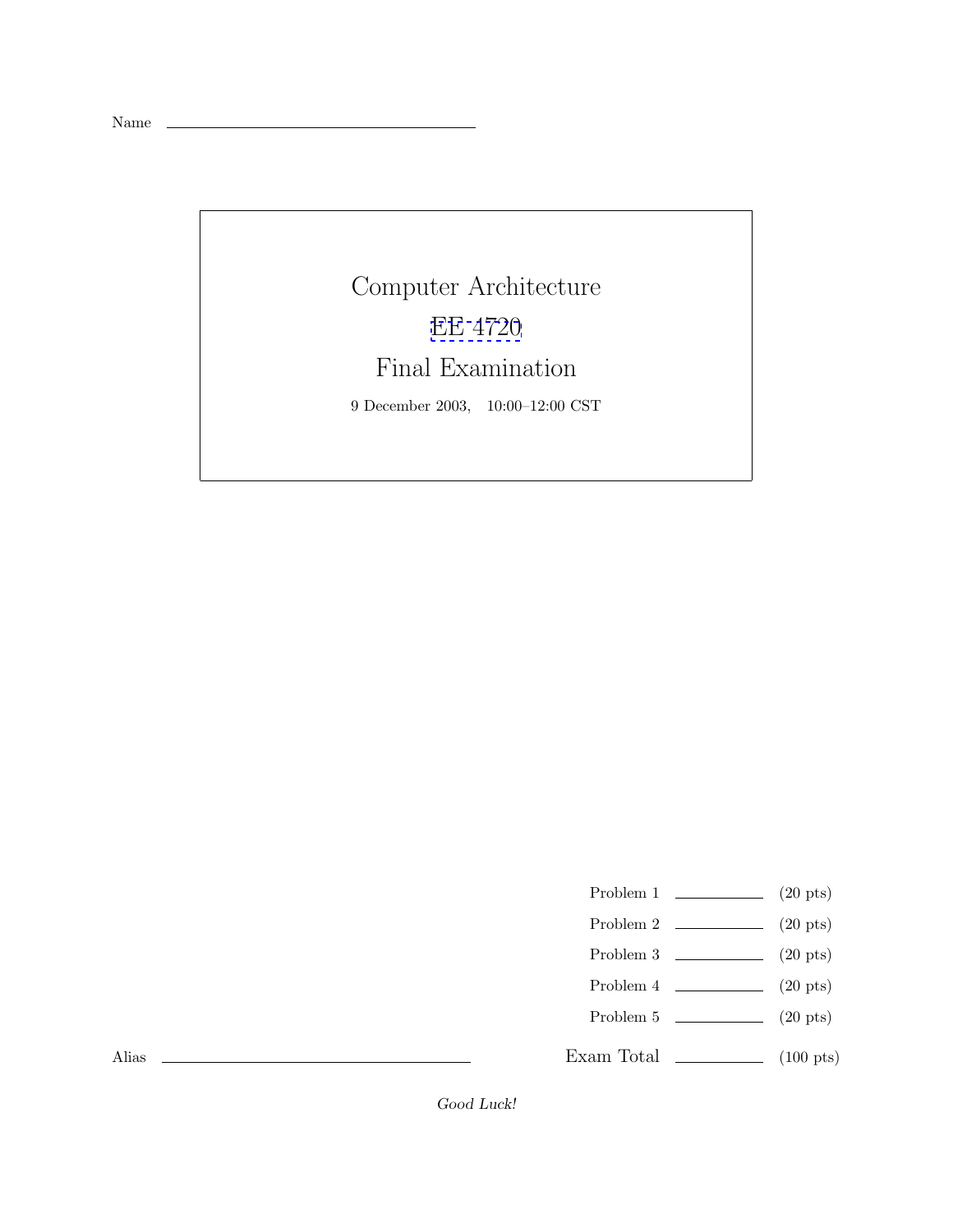Name

## Computer Architecture [EE 4720](http://www.ece.lsu.edu/ee4720/) Final Examination 9 December 2003, 10:00–12:00 CST

- Problem 1  $\qquad \qquad (20 \text{ pts})$
- Problem 2 (20 pts)
- Problem 3  $\qquad \qquad (20 \text{ pts})$
- Problem 4  $\qquad \qquad (20 \text{ pts})$
- Problem 5  $\qquad \qquad (20 \text{ pts})$
- Exam Total \_\_\_\_\_\_\_\_\_\_\_\_\_ (100 pts)

Alias

Good Luck!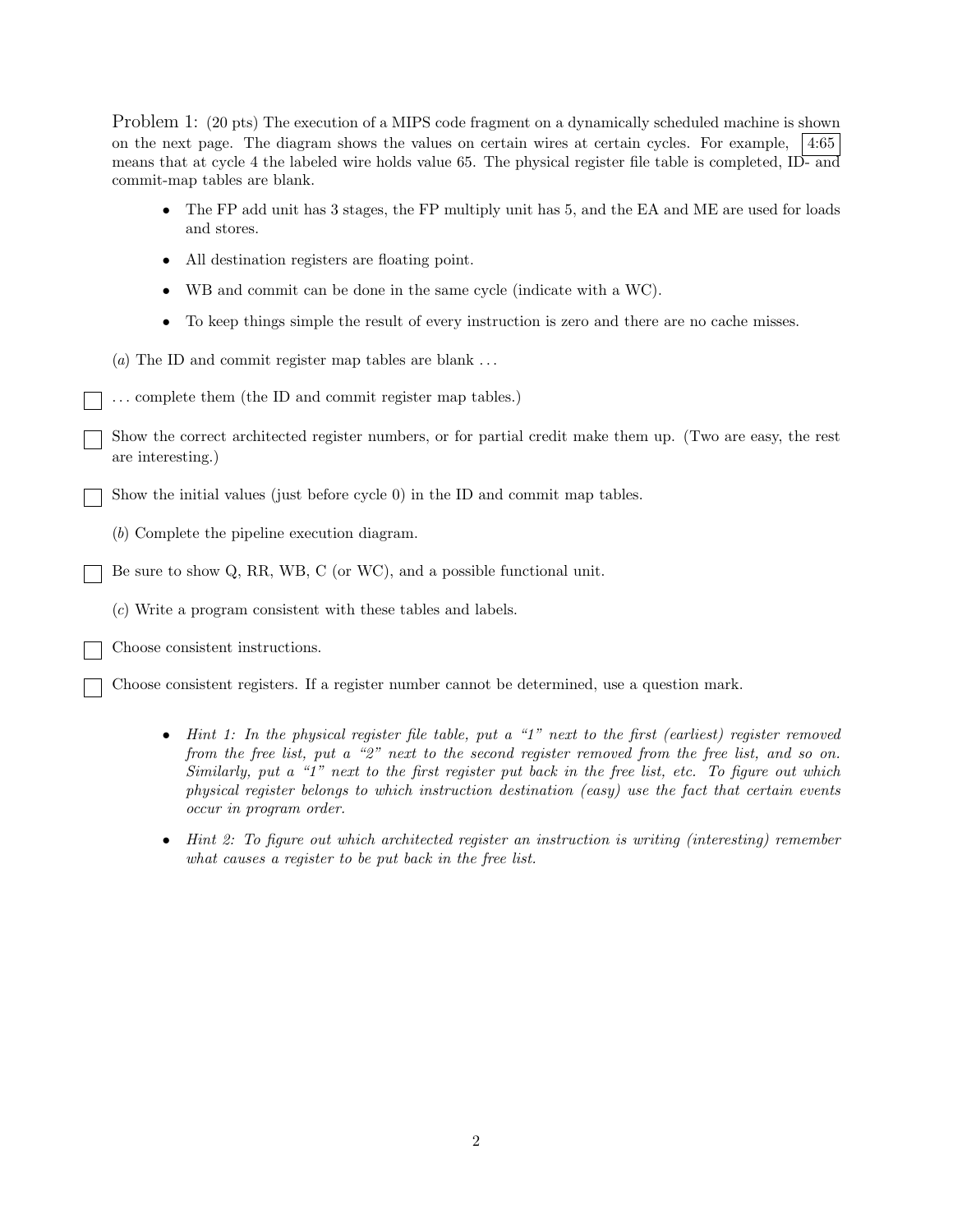Problem 1: (20 pts) The execution of a MIPS code fragment on a dynamically scheduled machine is shown on the next page. The diagram shows the values on certain wires at certain cycles. For example, 4:65 means that at cycle 4 the labeled wire holds value 65. The physical register file table is completed, ID- and commit-map tables are blank.

- The FP add unit has 3 stages, the FP multiply unit has 5, and the EA and ME are used for loads and stores.
- All destination registers are floating point.
- WB and commit can be done in the same cycle (indicate with a WC).
- To keep things simple the result of every instruction is zero and there are no cache misses.
- (*a*) The ID and commit register map tables are blank ...
- ... complete them (the ID and commit register map tables.)

Show the correct architected register numbers, or for partial credit make them up. (Two are easy, the rest are interesting.)

Show the initial values (just before cycle 0) in the ID and commit map tables.

(*b*) Complete the pipeline execution diagram.

Be sure to show Q, RR, WB, C (or WC), and a possible functional unit.

(*c*) Write a program consistent with these tables and labels.

Choose consistent instructions.

Choose consistent registers. If a register number cannot be determined, use a question mark.

- *Hint 1: In the physical register file table, put a "1" next to the first (earliest) register removed from the free list, put a "2" next to the second register removed from the free list, and so on. Similarly, put a "1" next to the first register put back in the free list, etc. To figure out which physical register belongs to which instruction destination (easy) use the fact that certain events occur in program order.*
- *Hint 2: To figure out which architected register an instruction is writing (interesting) remember what causes a register to be put back in the free list.*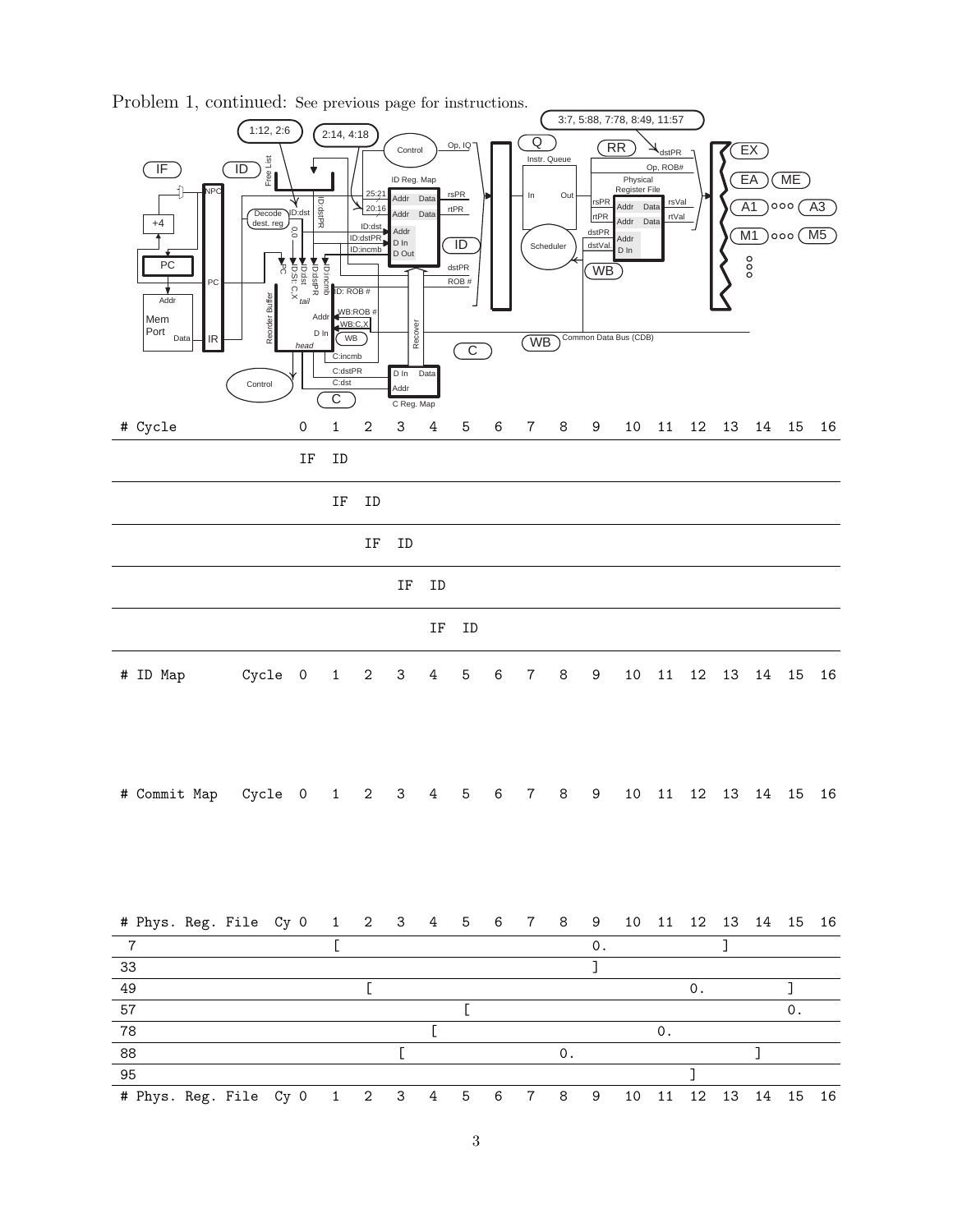

Problem 1, continued: See previous page for instructions.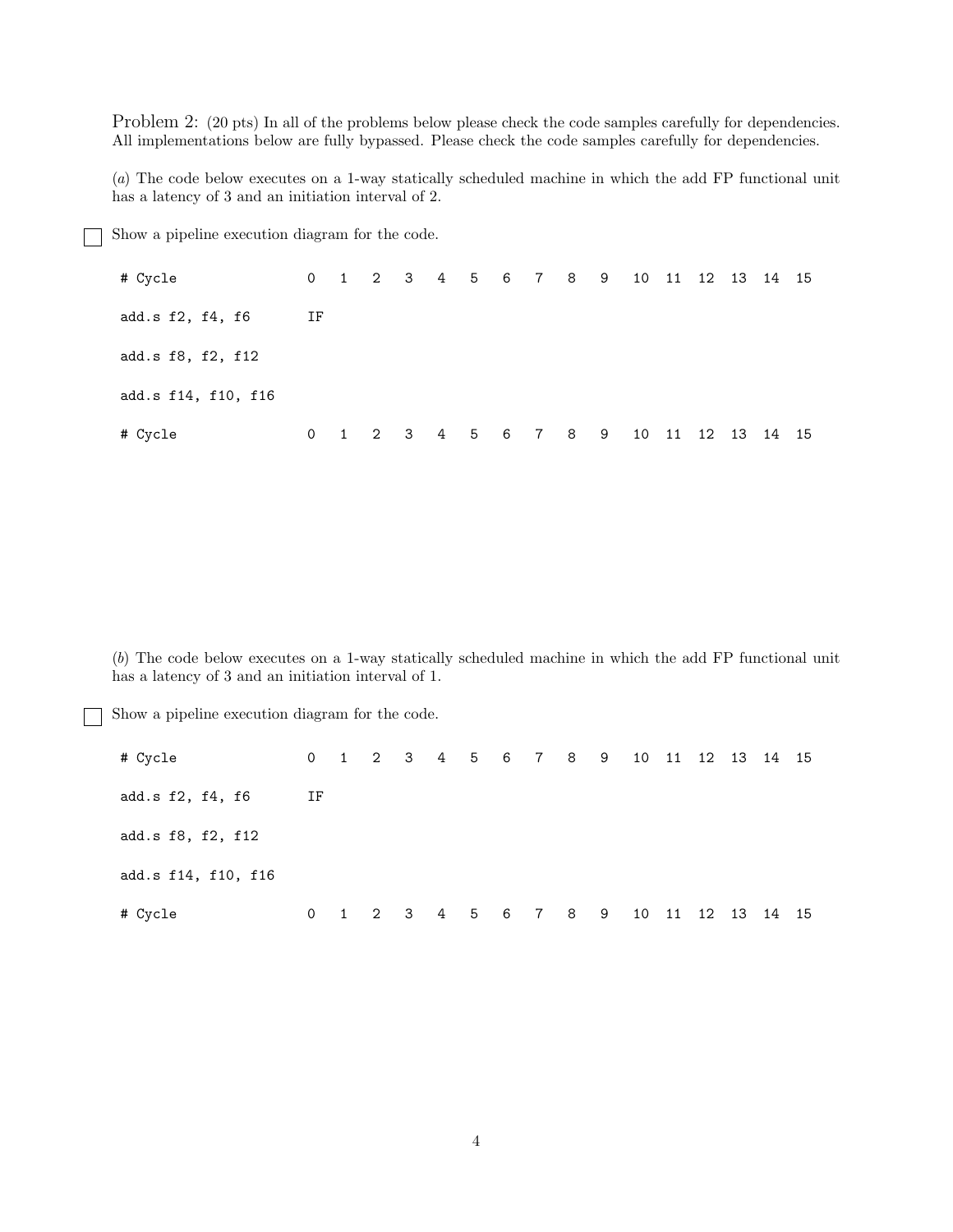Problem 2: (20 pts) In all of the problems below please check the code samples carefully for dependencies. All implementations below are fully bypassed. Please check the code samples carefully for dependencies.

(*a*) The code below executes on a 1-way statically scheduled machine in which the add FP functional unit has a latency of 3 and an initiation interval of 2.

Show a pipeline execution diagram for the code.

| # Cycle             |    |  | 0 1 2 3 4 5 6 7 8 9 10 11 12 13 14 15 |  |  |  |  |                   |  |
|---------------------|----|--|---------------------------------------|--|--|--|--|-------------------|--|
| add.s f2, f4, f6    | ΙF |  |                                       |  |  |  |  |                   |  |
| add.s f8, f2, f12   |    |  |                                       |  |  |  |  |                   |  |
| add.s f14, f10, f16 |    |  |                                       |  |  |  |  |                   |  |
| # Cycle             |    |  | 0 1 2 3 4 5 6 7 8 9                   |  |  |  |  | 10 11 12 13 14 15 |  |

(*b*) The code below executes on a 1-way statically scheduled machine in which the add FP functional unit has a latency of 3 and an initiation interval of 1.

Show a pipeline execution diagram for the code.

| # Cycle             |    |   |  |                 |  |  |  |  | 0 1 2 3 4 5 6 7 8 9 10 11 12 13 14 15 |  |
|---------------------|----|---|--|-----------------|--|--|--|--|---------------------------------------|--|
| add.s f2, f4, f6    | ΙF |   |  |                 |  |  |  |  |                                       |  |
| add.s f8, f2, f12   |    |   |  |                 |  |  |  |  |                                       |  |
| add.s f14, f10, f16 |    |   |  |                 |  |  |  |  |                                       |  |
| # Cycle             | 0  | 1 |  | 2 3 4 5 6 7 8 9 |  |  |  |  | 10 11 12 13 14 15                     |  |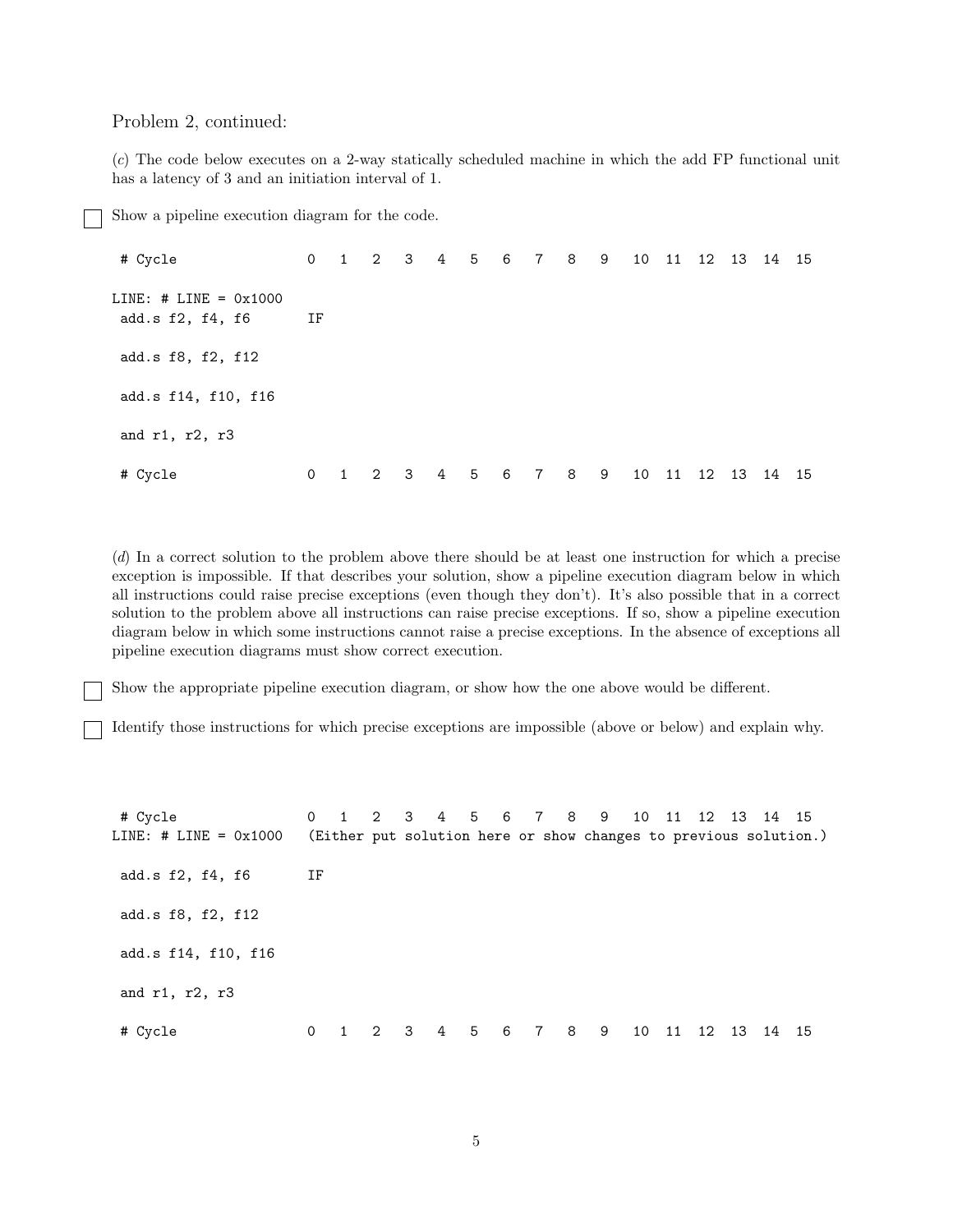## Problem 2, continued:

(*c*) The code below executes on a 2-way statically scheduled machine in which the add FP functional unit has a latency of 3 and an initiation interval of 1.

Show a pipeline execution diagram for the code.

# Cycle 0 1 2 3 4 5 6 7 8 9 10 11 12 13 14 15 LINE: # LINE = 0x1000 add.s f2, f4, f6 IF add.s f8, f2, f12 add.s f14, f10, f16 and r1, r2, r3 # Cycle 0 1 2 3 4 5 6 7 8 9 10 11 12 13 14 15

(*d*) In a correct solution to the problem above there should be at least one instruction for which a precise exception is impossible. If that describes your solution, show a pipeline execution diagram below in which all instructions could raise precise exceptions (even though they don't). It's also possible that in a correct solution to the problem above all instructions can raise precise exceptions. If so, show a pipeline execution diagram below in which some instructions cannot raise a precise exceptions. In the absence of exceptions all pipeline execution diagrams must show correct execution.

Show the appropriate pipeline execution diagram, or show how the one above would be different.

Identify those instructions for which precise exceptions are impossible (above or below) and explain why.

# Cycle 0 1 2 3 4 5 6 7 8 9 10 11 12 13 14 15 LINE: # LINE = 0x1000 (Either put solution here or show changes to previous solution.) add.s f2, f4, f6 IF add.s f8, f2, f12 add.s f14, f10, f16 and r1, r2, r3 # Cycle 0 1 2 3 4 5 6 7 8 9 10 11 12 13 14 15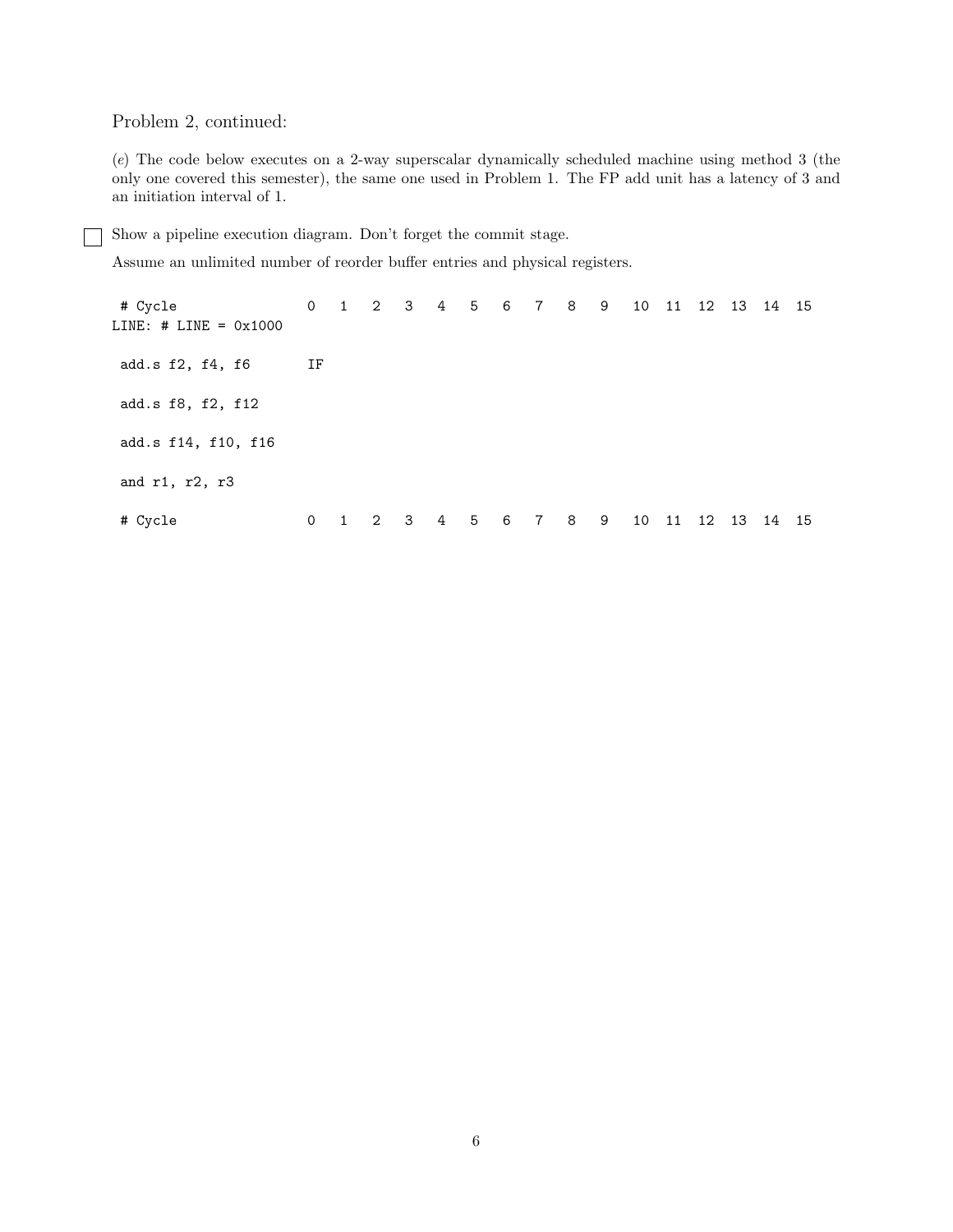Problem 2, continued:

(*e*) The code below executes on a 2-way superscalar dynamically scheduled machine using method 3 (the only one covered this semester), the same one used in Problem 1. The FP add unit has a latency of 3 and an initiation interval of 1.

Show a pipeline execution diagram. Don't forget the commit stage.

Assume an unlimited number of reorder buffer entries and physical registers.

# Cycle 0 1 2 3 4 5 6 7 8 9 10 11 12 13 14 15 LINE: # LINE = 0x1000 add.s f2, f4, f6 IF add.s f8, f2, f12 add.s f14, f10, f16 and r1, r2, r3 # Cycle 0 1 2 3 4 5 6 7 8 9 10 11 12 13 14 15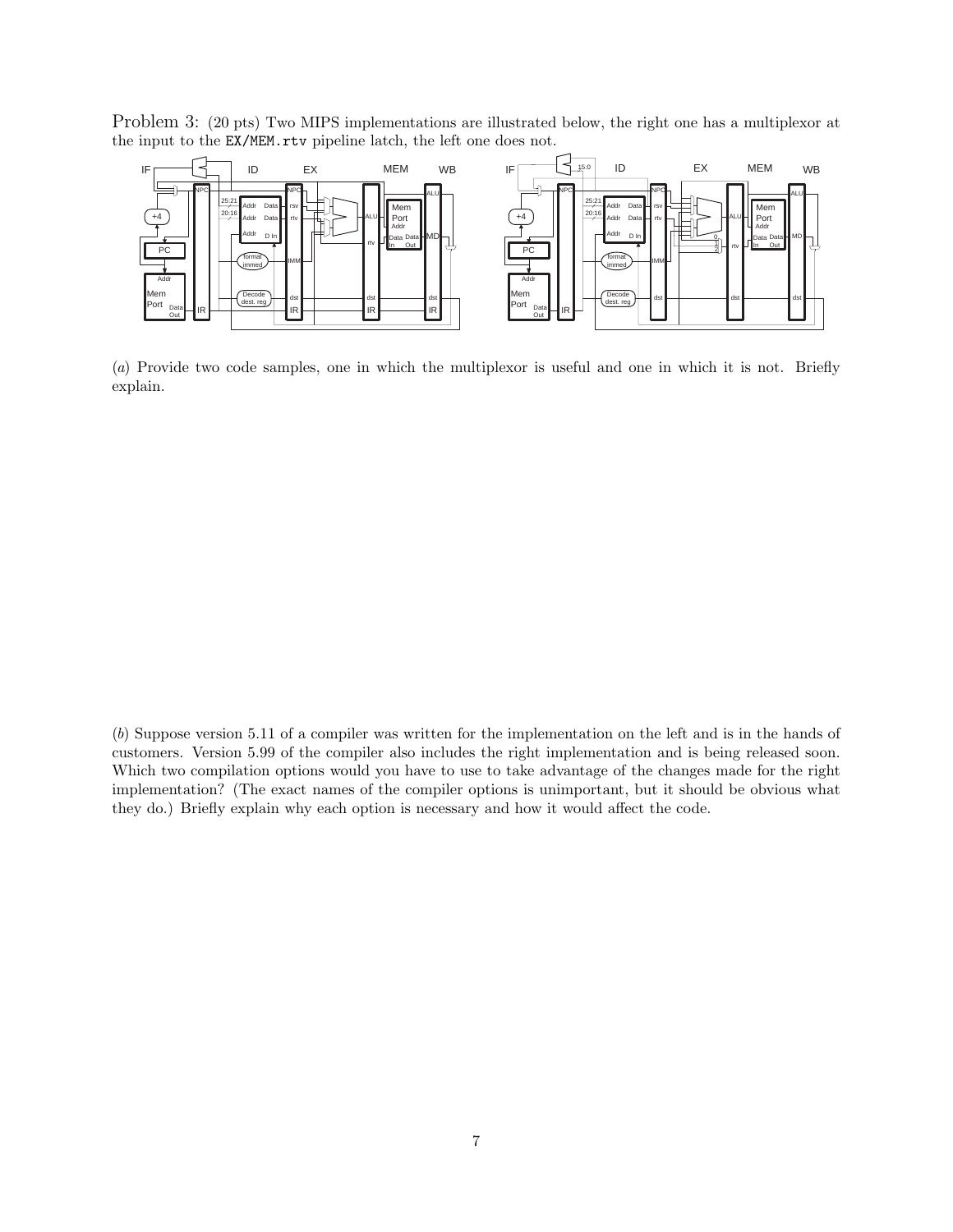Problem 3: (20 pts) Two MIPS implementations are illustrated below, the right one has a multiplexor at the input to the EX/MEM.rtv pipeline latch, the left one does not.



(*a*) Provide two code samples, one in which the multiplexor is useful and one in which it is not. Briefly explain.

<sup>(</sup>*b*) Suppose version 5.11 of a compiler was written for the implementation on the left and is in the hands of customers. Version 5.99 of the compiler also includes the right implementation and is being released soon. Which two compilation options would you have to use to take advantage of the changes made for the right implementation? (The exact names of the compiler options is unimportant, but it should be obvious what they do.) Briefly explain why each option is necessary and how it would affect the code.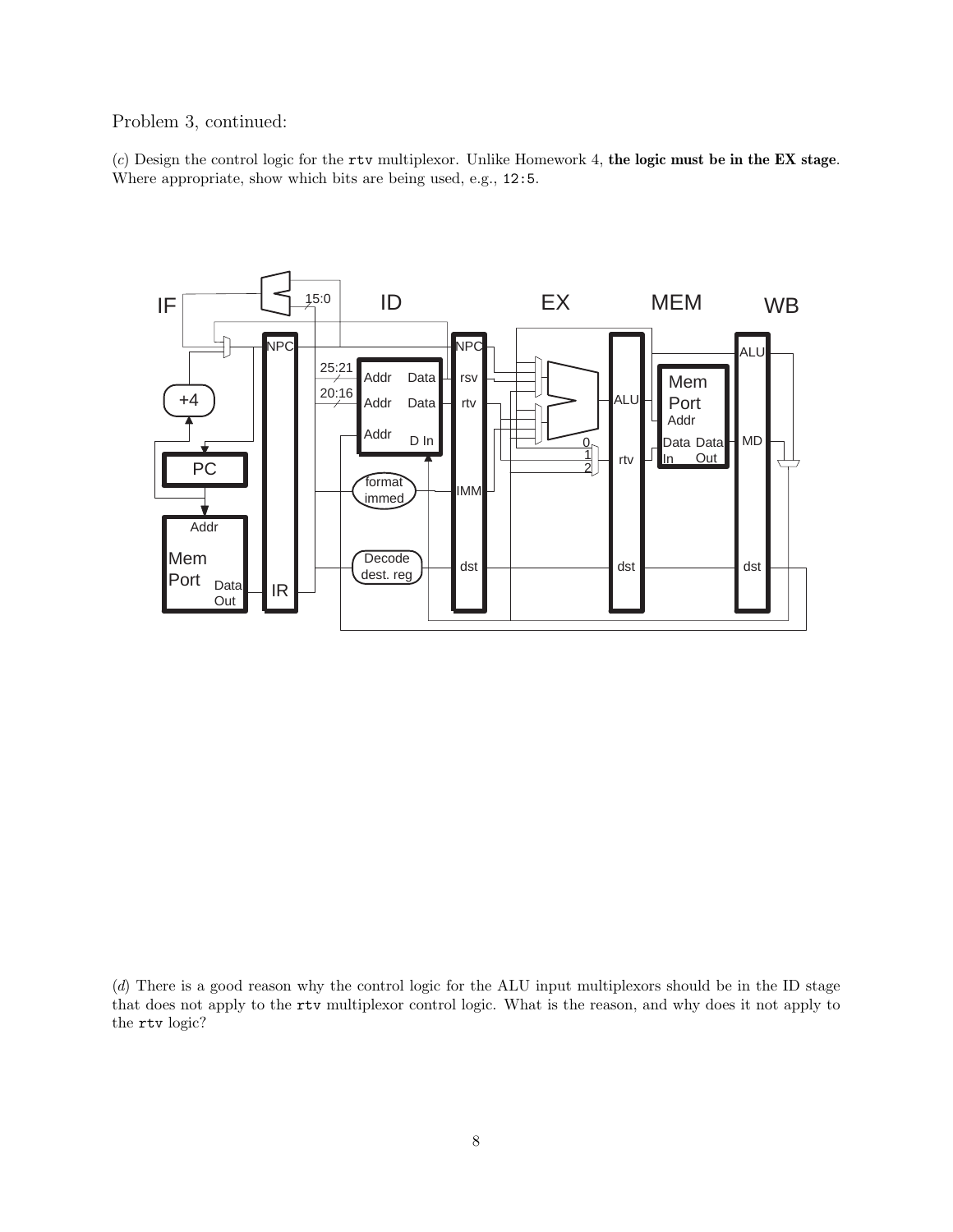Problem 3, continued:

(*c*) Design the control logic for the rtv multiplexor. Unlike Homework 4, **the logic must be in the EX stage**. Where appropriate, show which bits are being used, e.g., 12:5.



(*d*) There is a good reason why the control logic for the ALU input multiplexors should be in the ID stage that does not apply to the rtv multiplexor control logic. What is the reason, and why does it not apply to the rtv logic?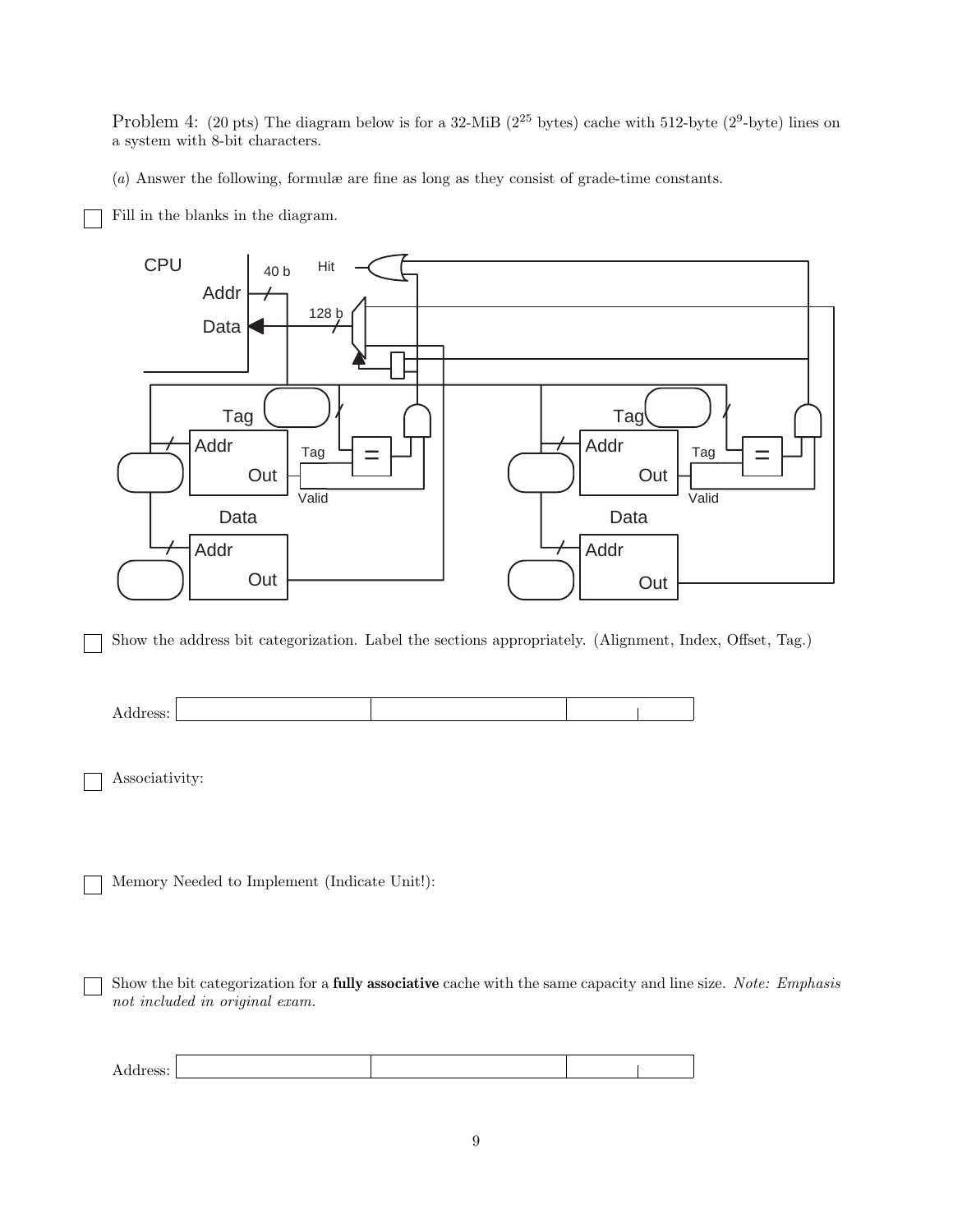Problem 4: (20 pts) The diagram below is for a 32-MiB ( $2^{25}$  bytes) cache with 512-byte ( $2^9$ -byte) lines on a system with 8-bit characters.

(*a*) Answer the following, formulæ are fine as long as they consist of grade-time constants.

Fill in the blanks in the diagram.



Show the address bit categorization. Label the sections appropriately. (Alignment, Index, Offset, Tag.)



Associativity:

Memory Needed to Implement (Indicate Unit!):

Show the bit categorization for a **fully associative** cache with the same capacity and line size. *Note: Emphasis not included in original exam.*

| Address: |  |  |
|----------|--|--|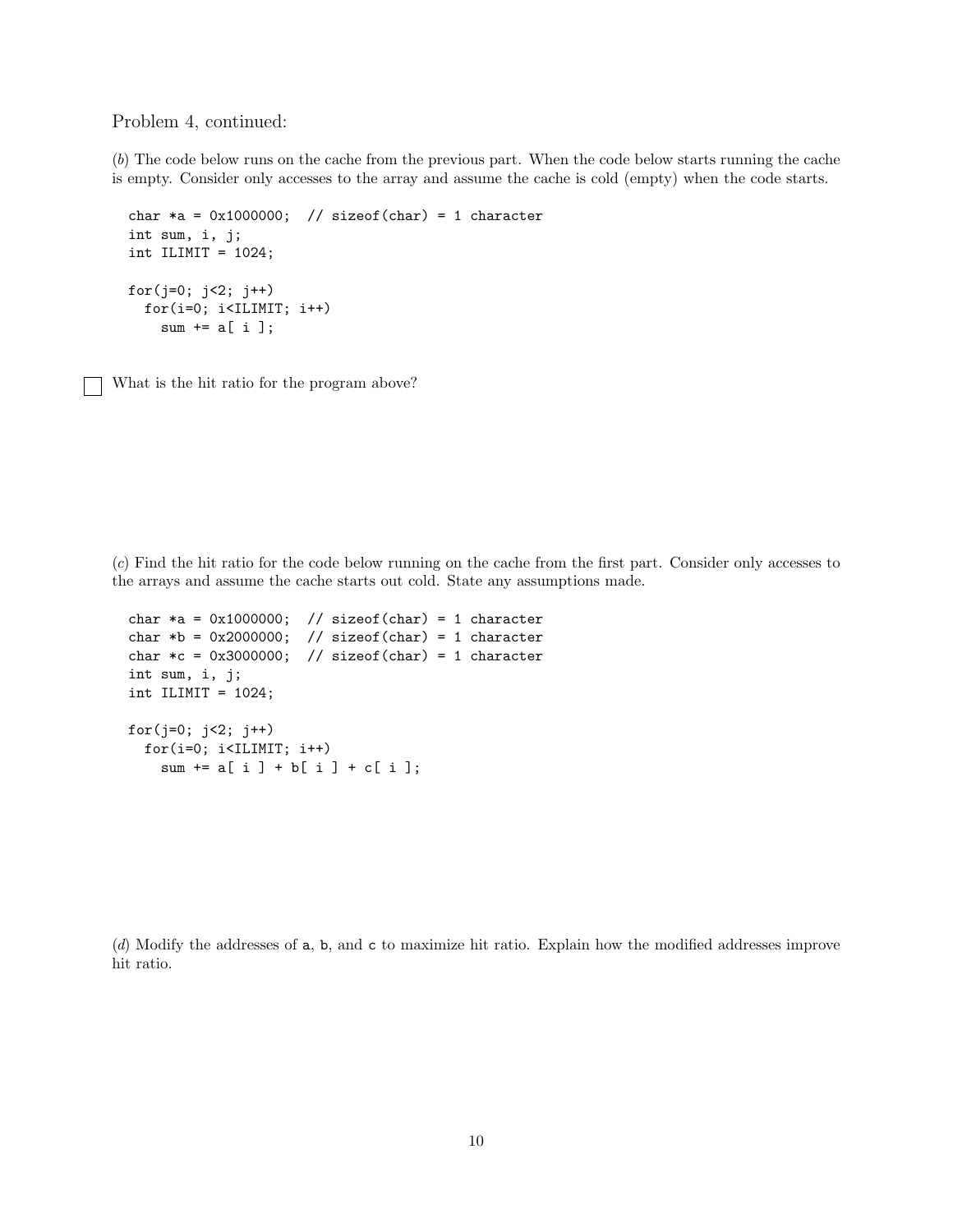Problem 4, continued:

(*b*) The code below runs on the cache from the previous part. When the code below starts running the cache is empty. Consider only accesses to the array and assume the cache is cold (empty) when the code starts.

```
char *a = 0x1000000; // sizeof(char) = 1 character
int sum, i, j;
int ILIMIT = 1024;
for(j=0; j<2; j++)
 for(i=0; i<ILIMIT; i++)
   sum += a[i];
```
What is the hit ratio for the program above?

(*c*) Find the hit ratio for the code below running on the cache from the first part. Consider only accesses to the arrays and assume the cache starts out cold. State any assumptions made.

```
char *a = 0x1000000; // sizeof(char) = 1 character
char *b = 0x2000000; // sizeof(char) = 1 character
char *c = 0x3000000; // sizeof(char) = 1 character
int sum, i, j;
int ILIMIT = 1024;
for(j=0; j<2; j++)for(i=0; i<ILIMIT; i++)
   sum + = a[i] + b[i] + c[i];
```
(*d*) Modify the addresses of a, b, and c to maximize hit ratio. Explain how the modified addresses improve hit ratio.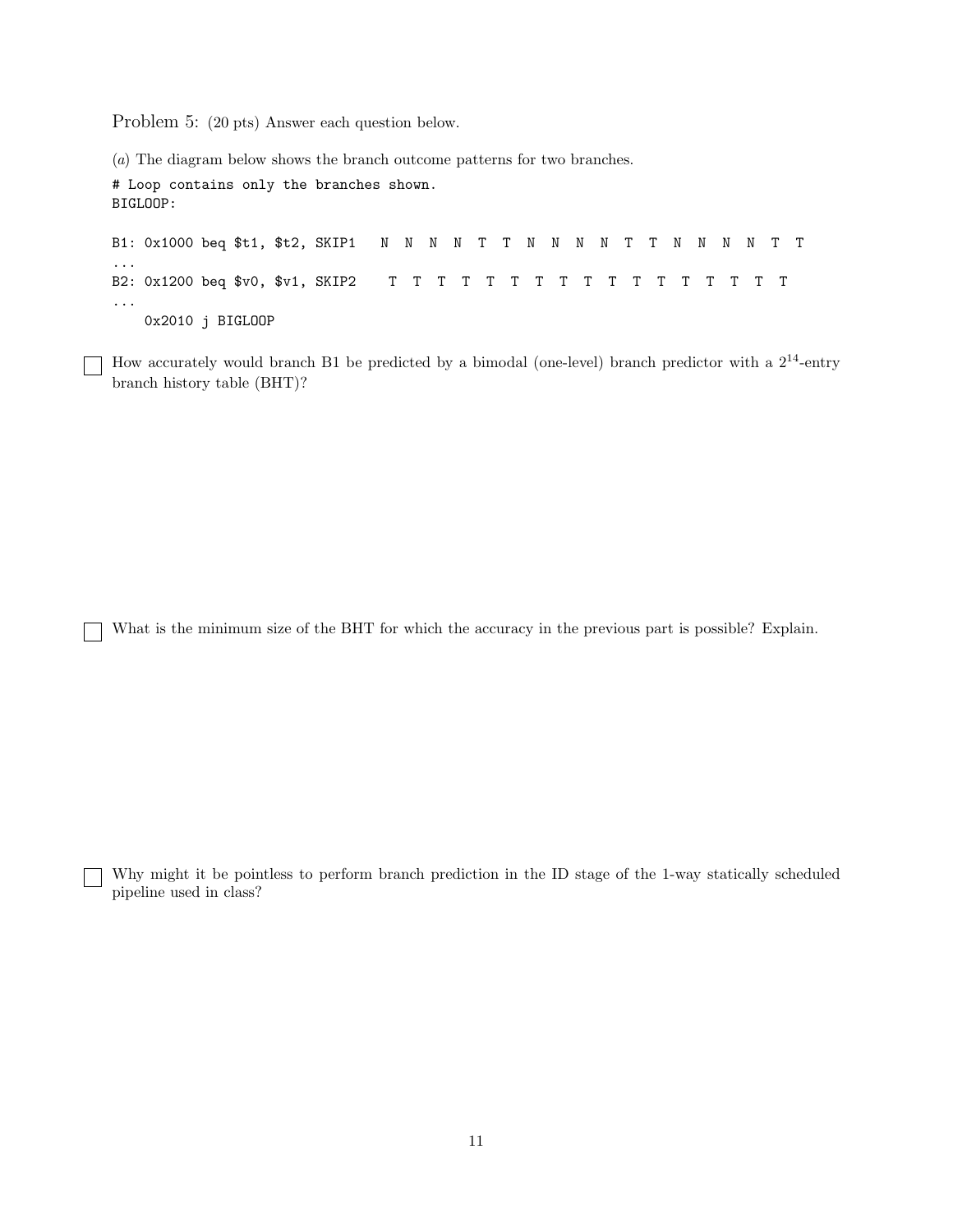Problem 5: (20 pts) Answer each question below.

 $\mathbf{I}$ 

(*a*) The diagram below shows the branch outcome patterns for two branches. # Loop contains only the branches shown. BIGLOOP: B1: 0x1000 beq \$t1, \$t2, SKIP1 N N N N T T N N N N T T N N N N T T ... B2: 0x1200 beq \$v0, \$v1, SKIP2 T T T T T T T T T T T T T T T T T ... 0x2010 j BIGLOOP

How accurately would branch B1 be predicted by a bimodal (one-level) branch predictor with a  $2^{14}$ -entry branch history table (BHT)?

What is the minimum size of the BHT for which the accuracy in the previous part is possible? Explain.

Why might it be pointless to perform branch prediction in the ID stage of the 1-way statically scheduled pipeline used in class?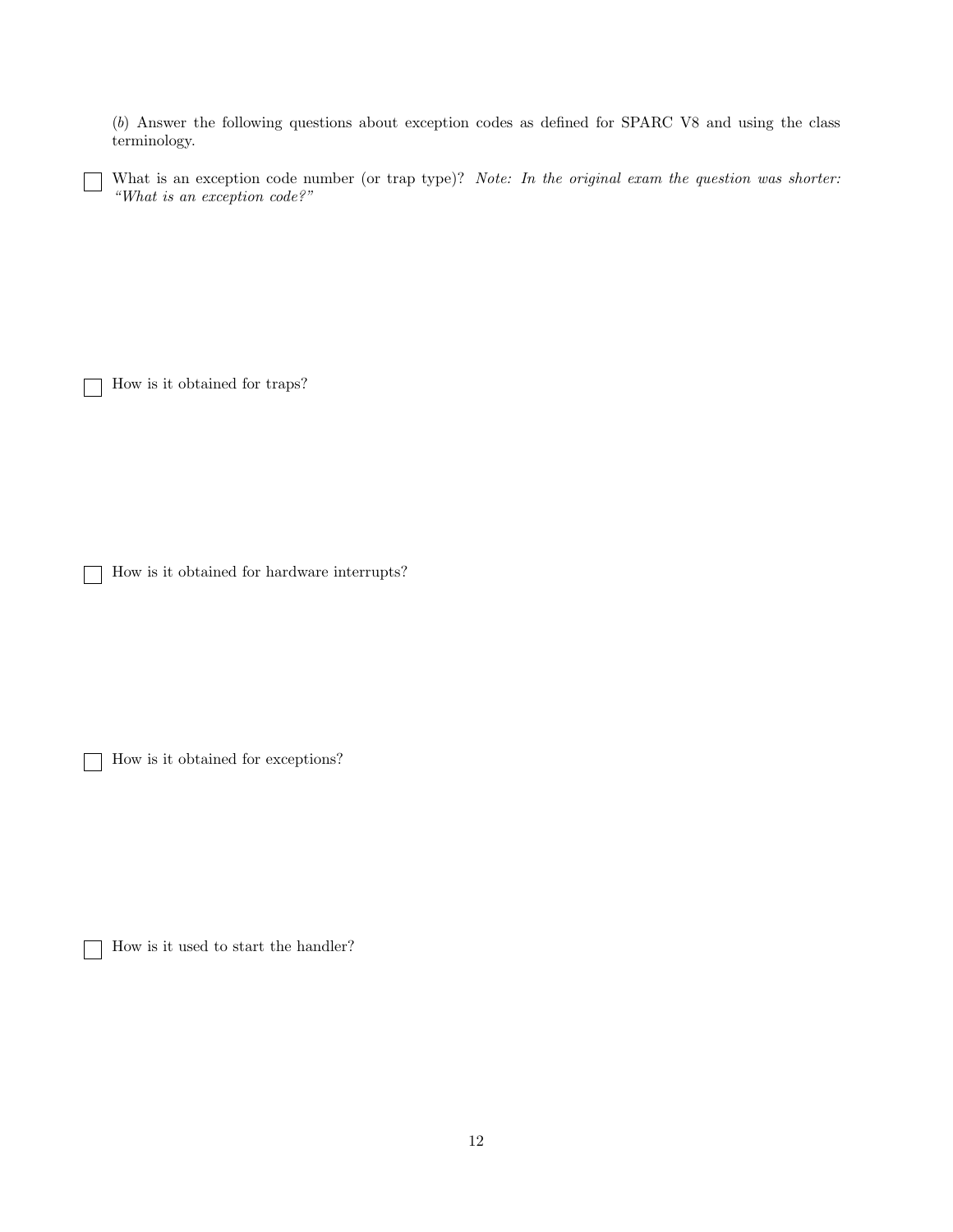(*b*) Answer the following questions about exception codes as defined for SPARC V8 and using the class terminology.

What is an exception code number (or trap type)? *Note: In the original exam the question was shorter: "What is an exception code?"*

How is it obtained for traps?

i

How is it obtained for hardware interrupts?

How is it obtained for exceptions?

How is it used to start the handler?